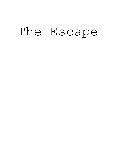# The Escape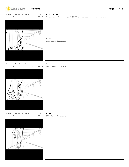



Prison corridor, night. A GUARD can be seen walking past the cells.

**Notes**

SFX: Heavy footsteps



| Scene |   | Duration | Panel |   | Duration |
|-------|---|----------|-------|---|----------|
|       | 1 | 03:02    |       | 3 | 00:14    |
|       |   |          |       |   |          |
|       |   |          |       |   |          |
|       |   |          |       |   |          |
|       |   |          |       |   |          |
|       |   |          |       |   |          |
|       |   |          |       |   |          |
|       |   |          |       |   |          |
|       |   |          |       |   |          |
|       |   |          |       |   |          |
|       |   |          |       |   |          |
|       |   |          |       |   |          |
|       |   |          |       |   |          |
|       |   |          |       |   |          |
|       |   |          |       |   |          |
|       |   |          |       |   |          |
|       |   |          |       |   |          |
|       |   |          |       |   |          |

# **Notes**

SFX: Heavy footsteps

# **Notes** SFX: Heavy footsteps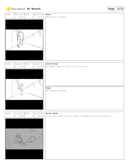



| Scene | 1 | Duration<br>03:02 | Panel | 5 | Duration<br>00:19 |
|-------|---|-------------------|-------|---|-------------------|
|       |   |                   |       |   |                   |
|       |   |                   |       |   |                   |
|       |   |                   |       |   |                   |
|       |   |                   |       |   |                   |
|       |   |                   |       |   |                   |
|       |   |                   |       |   |                   |
|       |   |                   |       |   |                   |
|       |   |                   |       |   |                   |
|       |   |                   |       |   |                   |
|       |   |                   |       |   |                   |
|       |   |                   |       |   |                   |
|       |   |                   |       |   |                   |
|       |   |                   |       |   |                   |
|       |   |                   |       |   |                   |
|       |   |                   |       |   |                   |

## **Notes**

# SFX: Heavy footsteps



**Action Notes**

The GUARD stops in front of a certain cell.

## **Notes**

SFX: Heavy footsteps



# **Action Notes**

Cut to the inside of cell, where the PIRATE is sitting chained up.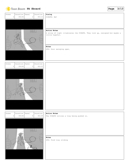



# **Dialog**

PIRATE: Hm?

# **Action Notes**

A strip of light illuminates the PIRATE. They look up, resigned but maybe a little hopeful.

# **Notes**

SFX: Door swinging open.



| Scene |              | Duration | Panel | Duration |
|-------|--------------|----------|-------|----------|
|       | $\mathbf{2}$ | 09:04    | 4     | 00:18    |
|       |              |          |       |          |
|       |              |          |       |          |
|       |              |          |       |          |
|       |              |          |       |          |
|       |              |          |       |          |
|       |              |          |       |          |
|       |              |          |       |          |
|       |              |          |       |          |
|       |              |          |       |          |
|       |              |          |       |          |
|       |              |          |       |          |
| ö     |              |          |       |          |
|       |              |          |       |          |
|       |              |          |       |          |
|       |              |          |       |          |
|       |              |          |       |          |
|       |              |          |       |          |

# **Action Notes**

The PIRATE notices a tray being pushed in.

# **Notes**

SFX: Food tray sliding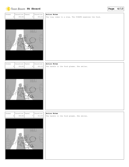

# Duration Panel Duration Scene 2 09:04 00:23 5 HH





## **Action Notes**

The tray comes to a stop. The PIRATE examines the food.

# **Action Notes**

The handle in the food gleams. She smiles.

# **Action Notes** The handle in the food gleams. She smiles.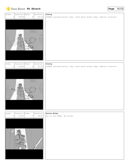



| $4^{\circ}$ |  | PIRATE (sarcastically): Wow, looks extra moldy today. Special occasion? |  |  |  |  |
|-------------|--|-------------------------------------------------------------------------|--|--|--|--|
|             |  |                                                                         |  |  |  |  |
|             |  |                                                                         |  |  |  |  |
|             |  |                                                                         |  |  |  |  |
|             |  |                                                                         |  |  |  |  |
|             |  |                                                                         |  |  |  |  |
|             |  |                                                                         |  |  |  |  |
|             |  |                                                                         |  |  |  |  |



# **Dialog**

**Dialog**

PIRATE (sarcastically): Wow, looks extra moldy today. Special occasion?



# **Action Notes** Cut to the GUARD. He scoffs.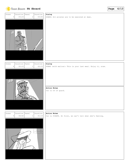



| Scene |   | Duration | Panel |              | Duration |
|-------|---|----------|-------|--------------|----------|
|       | 5 | 04:02    |       | $\mathbf{1}$ | 01:14    |
|       |   |          |       |              |          |
|       |   |          |       |              |          |
|       |   |          |       |              |          |
|       |   |          |       |              |          |
|       |   |          |       |              |          |
|       |   |          |       |              |          |
|       |   |          |       |              |          |
|       |   |          |       |              |          |
|       |   |          |       |              |          |
|       |   |          |       |              |          |
|       |   |          |       |              |          |
|       |   |          |       |              |          |
|       |   |          |       |              |          |
|       |   |          |       |              |          |
|       |   |          |       |              |          |

**Action Notes** Cut to PIRATE. At first, we can't tell what she's feeling,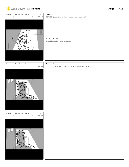



## **Dialog**

PIRATE (mocking): Aww, will you miss me?

**Action Notes** Unbelievably, she smirks.

| Scene | Duration | Panel        | Duration |  | Action Notes |  |  |                                              |  |
|-------|----------|--------------|----------|--|--------------|--|--|----------------------------------------------|--|
| 6     | 01:04    | $\mathbf{1}$ | 00:09    |  |              |  |  | Cut to the GUARD. He pulls a disgusted face. |  |
|       |          |              |          |  |              |  |  |                                              |  |

| Scene<br>6 | Duration<br>01:04 | Panel<br>$\mathbf{2}$ | Duration<br>00:09 |
|------------|-------------------|-----------------------|-------------------|
|            |                   |                       |                   |
|            |                   |                       |                   |
|            |                   |                       |                   |
|            |                   |                       |                   |
|            |                   |                       |                   |
|            |                   |                       |                   |
|            |                   |                       |                   |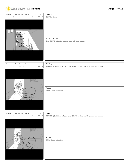

| Scene            | Duration   Panel   | 3          | Duration | Dialog                                                     |
|------------------|--------------------|------------|----------|------------------------------------------------------------|
| 6                | 01:04              |            | 00:10    | GUARD: Ugh.                                                |
|                  |                    |            |          | Action Notes<br>The GUARD slowly backs out of the cell.    |
| Scene            | Duration           | Panel      | Duration | Dialog                                                     |
| $\boldsymbol{7}$ | 05:16              | $1\,$      | 00:15    | PIRATE (Calling after the GUARD): But we'd grown so close! |
|                  |                    | ILLL       |          | Notes<br>SFX: Door closing                                 |
| Scene            | Duration $ $ Panel | $\sqrt{2}$ | Duration | Dialog                                                     |
| $\boldsymbol{7}$ | 05:16              |            | 00:19    | PIRATE (Calling after the GUARD): But we'd grown so close! |
|                  |                    | <b>HHK</b> |          | Notes<br>SFX: Door closing                                 |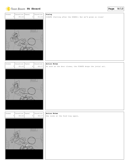



| PIRATE (Calling after the GUARD): But we'd grown so close! | Dialog |  |  |  |  |  |
|------------------------------------------------------------|--------|--|--|--|--|--|
|                                                            |        |  |  |  |  |  |
|                                                            |        |  |  |  |  |  |
|                                                            |        |  |  |  |  |  |
|                                                            |        |  |  |  |  |  |
|                                                            |        |  |  |  |  |  |
|                                                            |        |  |  |  |  |  |
|                                                            |        |  |  |  |  |  |
|                                                            |        |  |  |  |  |  |
|                                                            |        |  |  |  |  |  |
|                                                            |        |  |  |  |  |  |
|                                                            |        |  |  |  |  |  |
|                                                            |        |  |  |  |  |  |
|                                                            |        |  |  |  |  |  |
|                                                            |        |  |  |  |  |  |
|                                                            |        |  |  |  |  |  |

| Scene | Duration | Panel | Duration |
|-------|----------|-------|----------|
| 7     | 05:16    | 4     | 00:17    |
|       |          |       |          |
|       |          |       |          |
|       |          |       |          |
|       |          |       |          |
|       |          |       |          |
|       |          |       |          |
|       |          |       |          |
|       |          |       |          |
| o     |          |       |          |
|       |          |       |          |
|       |          |       |          |
|       |          |       |          |
|       |          |       |          |
|       |          |       |          |



As soon as the door closes, the PIRATE drops the jovial act.

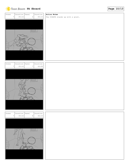



The PIRATE stands up with a grunt.



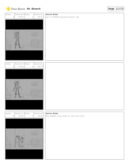

# Scene 8 Duration 05:01 Panel 1 Duration 00:11

# **Action Notes**

Cut to PIRATE dusting herself off.

| Scene |   | Duration | Panel               | Duration |
|-------|---|----------|---------------------|----------|
|       | 8 | 05:01    | $\mathbf{2}$        | 00:14    |
|       |   |          |                     |          |
|       |   |          |                     |          |
|       |   |          |                     |          |
|       |   |          |                     |          |
|       |   |          |                     |          |
|       |   |          |                     |          |
|       |   |          |                     |          |
|       |   |          | $\overline{\alpha}$ | ъ        |
| ö     |   |          |                     |          |
|       |   |          | $\circ$             |          |
|       |   |          |                     |          |
|       |   |          |                     |          |
|       |   |          |                     |          |
|       |   |          |                     |          |
|       |   |          |                     |          |



# **Action Notes** The PIRATE looks down at the food tray.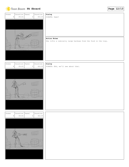



She lifts a comically large hacksaw from the food in the tray.



# **Dialog**

PIRATE: Ehh, we'll see about that.